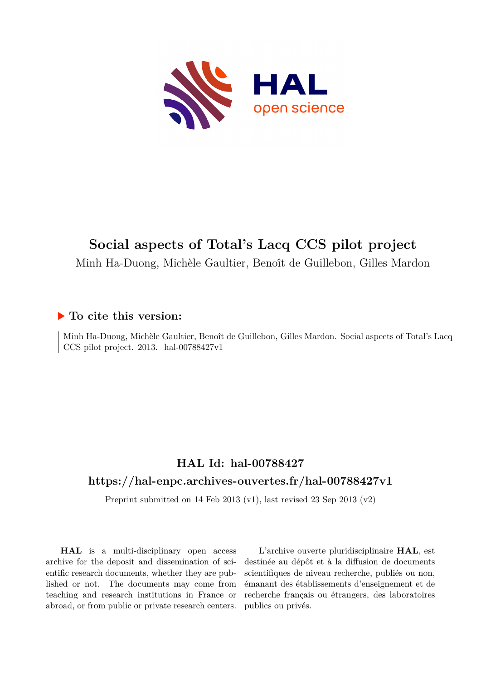

# **Social aspects of Total's Lacq CCS pilot project**

Minh Ha-Duong, Michèle Gaultier, Benoît de Guillebon, Gilles Mardon

## **To cite this version:**

Minh Ha-Duong, Michèle Gaultier, Benoît de Guillebon, Gilles Mardon. Social aspects of Total's Lacq  $CCS$  pilot project. 2013. hal-00788427v1

# **HAL Id: hal-00788427 <https://hal-enpc.archives-ouvertes.fr/hal-00788427v1>**

Preprint submitted on 14 Feb 2013 (v1), last revised 23 Sep 2013 (v2)

**HAL** is a multi-disciplinary open access archive for the deposit and dissemination of scientific research documents, whether they are published or not. The documents may come from teaching and research institutions in France or abroad, or from public or private research centers.

L'archive ouverte pluridisciplinaire **HAL**, est destinée au dépôt et à la diffusion de documents scientifiques de niveau recherche, publiés ou non, émanant des établissements d'enseignement et de recherche français ou étrangers, des laboratoires publics ou privés.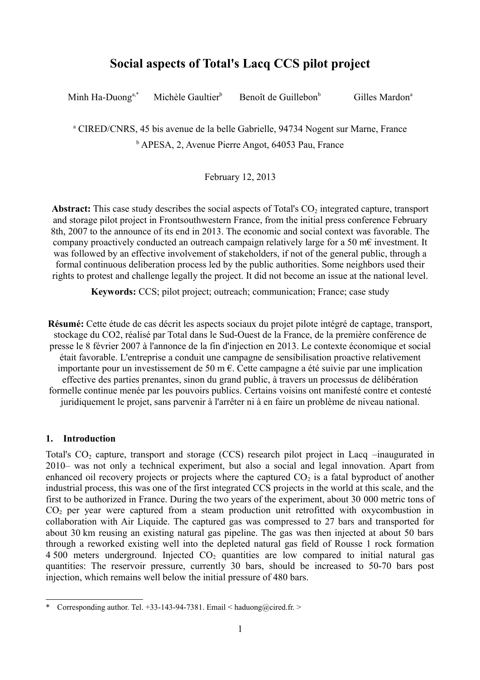# Social aspects of Total's Lacq CCS pilot project

Minh Ha-Duong<sup>a,\*</sup> Michèle Gaultier<sup>b</sup> Benoît de Guillebon<sup>b</sup> Gilles Mardon<sup>a</sup>

<sup>a</sup> CIRED/CNRS, 45 bis avenue de la belle Gabrielle, 94734 Nogent sur Marne, France <sup>b</sup> APESA, 2, Avenue Pierre Angot, 64053 Pau, France

February 12, 2013

**Abstract:** This case study describes the social aspects of Total's  $CO<sub>2</sub>$  integrated capture, transport and storage pilot project in Frontsouthwestern France, from the initial press conference February 8th, 2007 to the announce of its end in 2013. The economic and social context was favorable. The company proactively conducted an outreach campaign relatively large for a 50 m $\epsilon$  investment. It was followed by an effective involvement of stakeholders, if not of the general public, through a formal continuous deliberation process led by the public authorities. Some neighbors used their rights to protest and challenge legally the project. It did not become an issue at the national level.

Keywords: CCS; pilot project; outreach; communication; France; case study

Résumé: Cette étude de cas décrit les aspects sociaux du projet pilote intégré de captage, transport, stockage du CO2, réalisé par Total dans le Sud-Ouest de la France, de la première conférence de presse le 8 février 2007 à l'annonce de la fin d'injection en 2013. Le contexte économique et social était favorable. L'entreprise a conduit une campagne de sensibilisation proactive relativement importante pour un investissement de 50 m  $\epsilon$ . Cette campagne a été suivie par une implication effective des parties prenantes, sinon du grand public, à travers un processus de délibération formelle continue menée par les pouvoirs publics. Certains voisins ont manifesté contre et contesté juridiquement le projet, sans parvenir à l'arrêter ni à en faire un problème de niveau national.

### 1. Introduction

Total's  $CO<sub>2</sub>$  capture, transport and storage (CCS) research pilot project in Lacq -inaugurated in 2010– was not only a technical experiment, but also a social and legal innovation. Apart from enhanced oil recovery projects or projects where the captured  $CO<sub>2</sub>$  is a fatal byproduct of another industrial process, this was one of the first integrated CCS projects in the world at this scale, and the first to be authorized in France. During the two years of the experiment, about 30 000 metric tons of  $CO<sub>2</sub>$  per year were captured from a steam production unit retrofitted with oxycombustion in collaboration with Air Liquide. The captured gas was compressed to 27 bars and transported for about 30 km reusing an existing natural gas pipeline. The gas was then injected at about 50 bars through a reworked existing well into the depleted natural gas field of Rousse 1 rock formation  $4500$  meters underground. Injected  $CO<sub>2</sub>$  quantities are low compared to initial natural gas quantities: The reservoir pressure, currently 30 bars, should be increased to 50-70 bars post injection, which remains well below the initial pressure of 480 bars.

<span id="page-1-0"></span><sup>\*</sup> Corresponding author. Tel. +33-143-94-7381. Email  $\leq$  haduong @cired.fr.  $\geq$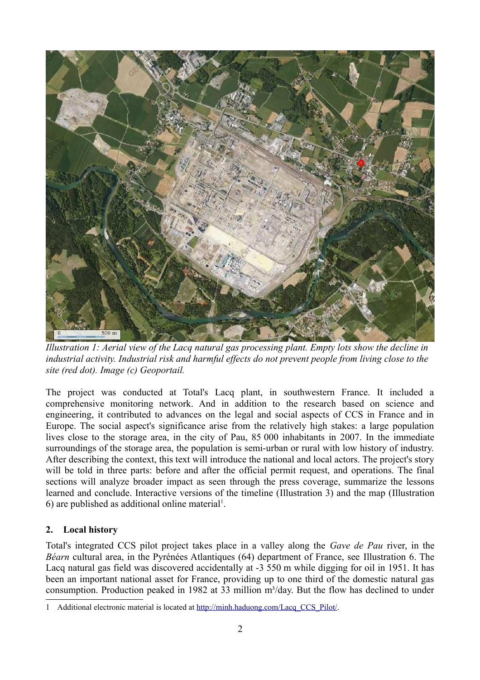

Illustration 1: Aerial view of the Lacq natural gas processing plant. Empty lots show the decline in industrial activity. Industrial risk and harmful effects do not prevent people from living close to the site (red dot). Image (c) Geoportail.

<span id="page-2-1"></span>The project was conducted at Total's Lacq plant, in southwestern France. It included a comprehensive monitoring network. And in addition to the research based on science and engineering, it contributed to advances on the legal and social aspects of CCS in France and in Europe. The social aspect's significance arise from the relatively high stakes: a large population lives close to the storage area, in the city of Pau, 85 000 inhabitants in 2007. In the immediate surroundings of the storage area, the population is semi-urban or rural with low history of industry. After describing the context, this text will introduce the national and local actors. The project's story will be told in three parts: before and after the official permit request, and operations. The final sections will analyze broader impact as seen through the press coverage, summarize the lessons learned and conclude. Interactive versions of the timeline (Illustration 3) and the map (Illustration 6) are published as additional online material<sup>1</sup>.

### $2.$ **Local history**

Total's integrated CCS pilot project takes place in a valley along the *Gave de Pau* river, in the Béarn cultural area, in the Pyrénées Atlantiques (64) department of France, see Illustration 6. The Lacq natural gas field was discovered accidentally at -3 550 m while digging for oil in 1951. It has been an important national asset for France, providing up to one third of the domestic natural gas consumption. Production peaked in 1982 at 33 million m<sup>3</sup>/day. But the flow has declined to under

<span id="page-2-0"></span>Additional electronic material is located at http://minh.haduong.com/Lacq\_CCS\_Pilot/.  $\mathbf{1}$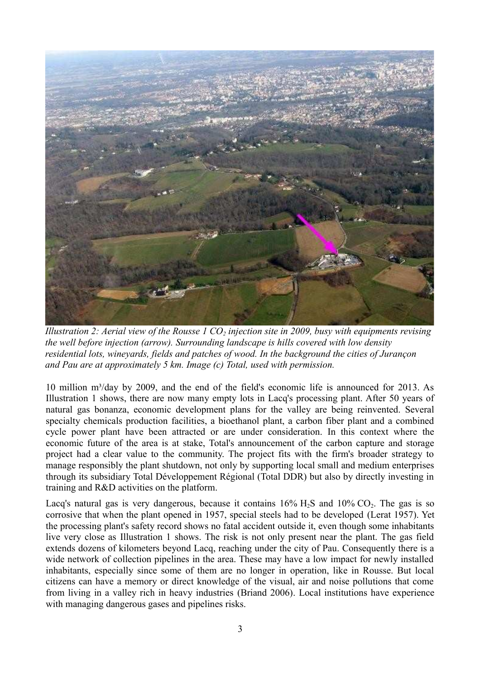

Illustration 2: Aerial view of the Rousse 1  $CO<sub>2</sub>$  injection site in 2009, busy with equipments revising the well before injection (arrow). Surrounding landscape is hills covered with low density residential lots, wineyards, fields and patches of wood. In the background the cities of Jurançon and Pau are at approximately  $5 \text{ km}$ . Image (c) Total, used with permission.

10 million m<sup>3</sup>/day by 2009, and the end of the field's economic life is announced for 2013. As Illustration 1 shows, there are now many empty lots in Lacq's processing plant. After 50 years of natural gas bonanza, economic development plans for the valley are being reinvented. Several specialty chemicals production facilities, a bioethanol plant, a carbon fiber plant and a combined cycle power plant have been attracted or are under consideration. In this context where the economic future of the area is at stake, Total's announcement of the carbon capture and storage project had a clear value to the community. The project fits with the firm's broader strategy to manage responsibly the plant shutdown, not only by supporting local small and medium enterprises through its subsidiary Total Développement Régional (Total DDR) but also by directly investing in training and R&D activities on the platform.

Lacq's natural gas is very dangerous, because it contains  $16\%$  H<sub>2</sub>S and  $10\%$  CO<sub>2</sub>. The gas is so corrosive that when the plant opened in 1957, special steels had to be developed (Lerat 1957). Yet the processing plant's safety record shows no fatal accident outside it, even though some inhabitants live very close as Illustration 1 shows. The risk is not only present near the plant. The gas field extends dozens of kilometers beyond Lacq, reaching under the city of Pau. Consequently there is a wide network of collection pipelines in the area. These may have a low impact for newly installed inhabitants, especially since some of them are no longer in operation, like in Rousse. But local citizens can have a memory or direct knowledge of the visual, air and noise pollutions that come from living in a valley rich in heavy industries (Briand 2006). Local institutions have experience with managing dangerous gases and pipelines risks.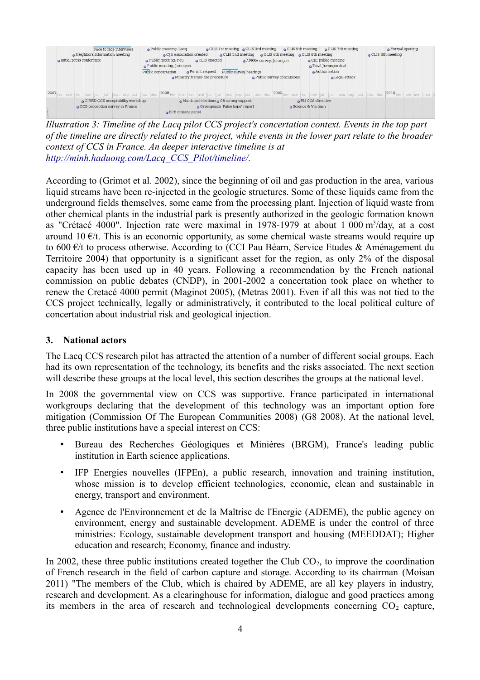

<span id="page-4-0"></span>Illustration 3: Timeline of the Lacq pilot CCS project's concertation context. Events in the top part of the timeline are directly related to the project, while events in the lower part relate to the broader context of CCS in France. An deeper interactive timeline is at http://minh.haduong.com/Lacq CCS Pilot/timeline/.

According to (Grimot et al. 2002), since the beginning of oil and gas production in the area, various liquid streams have been re-injected in the geologic structures. Some of these liquids came from the underground fields themselves, some came from the processing plant. Injection of liquid waste from other chemical plants in the industrial park is presently authorized in the geologic formation known as "Crétacé 4000". Injection rate were maximal in 1978-1979 at about 1 000 m<sup>3</sup>/day, at a cost around 10  $\epsilon/t$ . This is an economic opportunity, as some chemical waste streams would require up to 600  $\epsilon$ /t to process otherwise. According to (CCI Pau Béarn, Service Etudes & Aménagement du Territoire 2004) that opportunity is a significant asset for the region, as only 2% of the disposal capacity has been used up in 40 years. Following a recommendation by the French national commission on public debates (CNDP), in 2001-2002 a concertation took place on whether to renew the Cretacé 4000 permit (Maginot 2005), (Metras 2001). Even if all this was not tied to the CCS project technically, legally or administratively, it contributed to the local political culture of concertation about industrial risk and geological injection.

#### $3.$ **National actors**

The Lacq CCS research pilot has attracted the attention of a number of different social groups. Each had its own representation of the technology, its benefits and the risks associated. The next section will describe these groups at the local level, this section describes the groups at the national level.

In 2008 the governmental view on CCS was supportive. France participated in international workgroups declaring that the development of this technology was an important option fore mitigation (Commission Of The European Communities 2008) (G8 2008). At the national level, three public institutions have a special interest on CCS:

- Bureau des Recherches Géologiques et Minières (BRGM), France's leading public institution in Earth science applications.
- IFP Energies nouvelles (IFPEn), a public research, innovation and training institution,  $\bullet$ whose mission is to develop efficient technologies, economic, clean and sustainable in energy, transport and environment.
- Agence de l'Environnement et de la Maîtrise de l'Energie (ADEME), the public agency on  $\bullet$ environment, energy and sustainable development. ADEME is under the control of three ministries: Ecology, sustainable development transport and housing (MEEDDAT); Higher education and research; Economy, finance and industry.

In 2002, these three public institutions created together the Club  $CO<sub>2</sub>$ , to improve the coordination of French research in the field of carbon capture and storage. According to its chairman (Moisan 2011) "The members of the Club, which is chaired by ADEME, are all key players in industry, research and development. As a clearinghouse for information, dialogue and good practices among its members in the area of research and technological developments concerning  $CO<sub>2</sub>$  capture,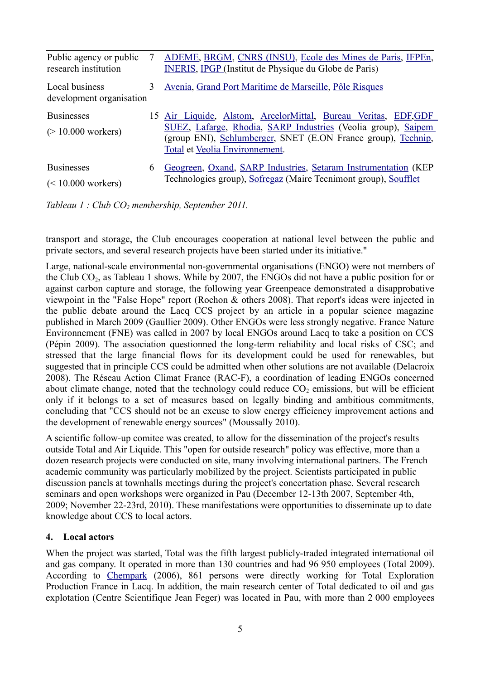| Public agency or public<br>research institution | 7 | ADEME, BRGM, CNRS (INSU), Ecole des Mines de Paris, IFPEn,<br><b>INERIS, IPGP</b> (Institut de Physique du Globe de Paris)                                                                                                          |  |
|-------------------------------------------------|---|-------------------------------------------------------------------------------------------------------------------------------------------------------------------------------------------------------------------------------------|--|
| Local business<br>development organisation      | 3 | Avenia, Grand Port Maritime de Marseille, Pôle Risques                                                                                                                                                                              |  |
| <b>Businesses</b><br>$(>10.000$ workers)        |   | 15 Air Liquide, Alstom, ArcelorMittal, Bureau Veritas, EDF, GDF<br>SUEZ, Lafarge, Rhodia, SARP Industries (Veolia group), Saipem<br>(group ENI), Schlumberger, SNET (E.ON France group), Technip,<br>Total et Veolia Environnement. |  |
| <b>Businesses</b><br>$(< 10.000$ workers)       | 6 | Geogreen, Oxand, SARP Industries, Setaram Instrumentation (KEP)<br>Technologies group), Sofregaz (Maire Tecnimont group), Soufflet                                                                                                  |  |

<span id="page-5-0"></span>*Tableau 1: Club CO<sub>2</sub> membership, September 2011.* 

transport and storage, the Club encourages cooperation at national level between the public and private sectors, and several research projects have been started under its initiative."

Large, national-scale environmental non-governmental organisations (ENGO) were not members of the Club  $CO_2$ , as Tableau 1 shows. While by 2007, the ENGOs did not have a public position for or against carbon capture and storage, the following year Greenpeace demonstrated a disapprobative viewpoint in the "False Hope" report (Rochon  $\&$  others 2008). That report's ideas were injected in the public debate around the Lacq CCS project by an article in a popular science magazine published in March 2009 (Gaullier 2009). Other ENGOs were less strongly negative. France Nature Environnement (FNE) was called in 2007 by local ENGOs around Lacq to take a position on CCS (Pépin 2009). The association questionned the long-term reliability and local risks of CSC; and stressed that the large financial flows for its development could be used for renewables, but suggested that in principle CCS could be admitted when other solutions are not available (Delacroix 2008). The Réseau Action Climat France (RAC-F), a coordination of leading ENGOs concerned about climate change, noted that the technology could reduce  $CO<sub>2</sub>$  emissions, but will be efficient only if it belongs to a set of measures based on legally binding and ambitious commitments, concluding that "CCS should not be an excuse to slow energy efficiency improvement actions and the development of renewable energy sources" (Moussally 2010).

A scientific follow-up comitee was created, to allow for the dissemination of the project's results outside Total and Air Liquide. This "open for outside research" policy was effective, more than a dozen research projects were conducted on site, many involving international partners. The French academic community was particularly mobilized by the project. Scientists participated in public discussion panels at townhalls meetings during the project's concertation phase. Several research seminars and open workshops were organized in Pau (December 12-13th 2007, September 4th, 2009; November 22-23rd, 2010). These manifestations were opportunities to disseminate up to date knowledge about CCS to local actors.

## **4.** Local actors

When the project was started, Total was the fifth largest publicly-traded integrated international oil and gas company. It operated in more than 130 countries and had 96 950 employees (Total 2009). According to Chempark (2006), 861 persons were directly working for Total Exploration Production France in Lacq. In addition, the main research center of Total dedicated to oil and gas explotation (Centre Scientifique Jean Feger) was located in Pau, with more than 2 000 employees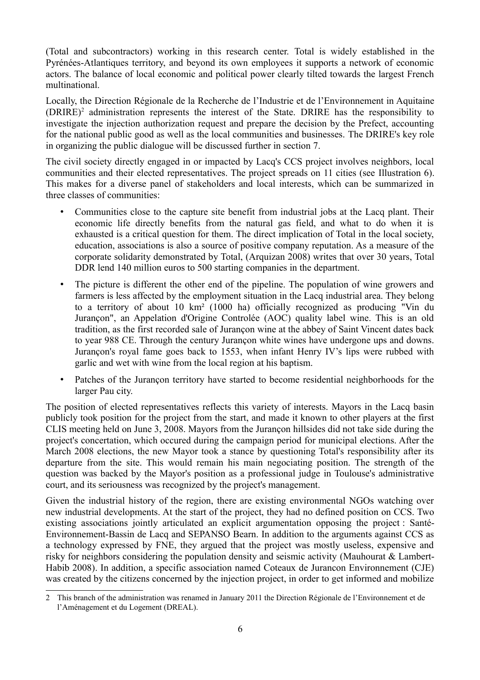(Total and subcontractors) working in this research center. Total is widely established in the Pyrénées-Atlantiques territory, and beyond its own employees it supports a network of economic actors. The balance of local economic and political power clearly tilted towards the largest French multinational.

Locally, the Direction Régionale de la Recherche de l'Industrie et de l'Environnement in Aquitaine (DRIRE)<sup>2</sup> administration represents the interest of the State. DRIRE has the responsibility to investigate the injection authorization request and prepare the decision by the Prefect, accounting for the national public good as well as the local communities and businesses. The DRIRE's key role in organizing the public dialogue will be discussed further in section 7.

The civil society directly engaged in or impacted by Lacq's CCS project involves neighbors, local communities and their elected representatives. The project spreads on 11 cities (see Illustration 6). This makes for a diverse panel of stakeholders and local interests, which can be summarized in three classes of communities.

- Communities close to the capture site benefit from industrial jobs at the Lacq plant. Their economic life directly benefits from the natural gas field, and what to do when it is exhausted is a critical question for them. The direct implication of Total in the local society, education, associations is also a source of positive company reputation. As a measure of the corporate solidarity demonstrated by Total, (Arguizan 2008) writes that over 30 years. Total DDR lend 140 million euros to 500 starting companies in the department.
- The picture is different the other end of the pipeline. The population of wine growers and  $\bullet$ farmers is less affected by the employment situation in the Lacq industrial area. They belong to a territory of about 10 km<sup>2</sup> (1000 ha) officially recognized as producing "Vin du Jurançon", an Appelation d'Origine Controlée (AOC) quality label wine. This is an old tradition, as the first recorded sale of Jurançon wine at the abbey of Saint Vincent dates back to year 988 CE. Through the century Jurancon white wines have undergone ups and downs. Jurancon's royal fame goes back to 1553, when infant Henry IV's lips were rubbed with garlic and wet with wine from the local region at his baptism.
- Patches of the Jurançon territory have started to become residential neighborhoods for the  $\bullet$ larger Pau city.

The position of elected representatives reflects this variety of interests. Mayors in the Lacq basin publicly took position for the project from the start, and made it known to other players at the first CLIS meeting held on June 3, 2008. Mayors from the Jurancon hillsides did not take side during the project's concertation, which occured during the campaign period for municipal elections. After the March 2008 elections, the new Mayor took a stance by questioning Total's responsibility after its departure from the site. This would remain his main negociating position. The strength of the question was backed by the Mayor's position as a professional judge in Toulouse's administrative court, and its seriousness was recognized by the project's management.

Given the industrial history of the region, there are existing environmental NGOs watching over new industrial developments. At the start of the project, they had no defined position on CCS. Two existing associations jointly articulated an explicit argumentation opposing the project : Santé-Environmement-Bassin de Lacq and SEPANSO Bearn. In addition to the arguments against CCS as a technology expressed by FNE, they argued that the project was mostly useless, expensive and risky for neighbors considering the population density and seismic activity (Mauhourat & Lambert-Habib 2008). In addition, a specific association named Coteaux de Jurancon Environmement (CJE) was created by the citizens concerned by the injection project, in order to get informed and mobilize

<span id="page-6-0"></span>This branch of the administration was renamed in January 2011 the Direction Régionale de l'Environnement et de  $\overline{2}$ l'Aménagement et du Logement (DREAL).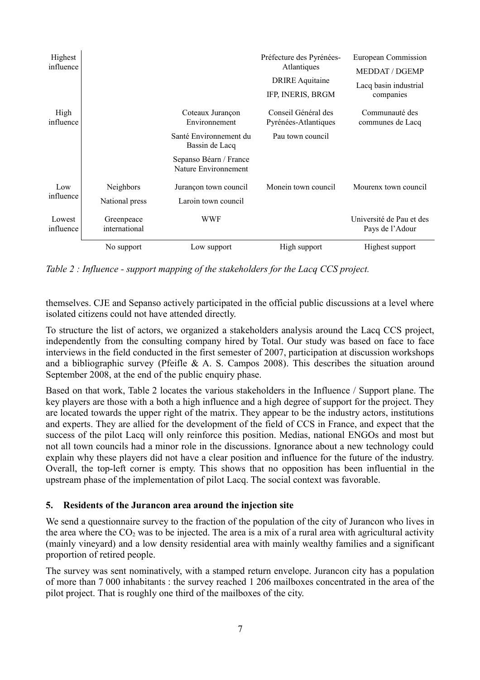| Highest<br>influence |                             |                                                | Préfecture des Pyrénées-<br>Atlantiques<br><b>DRIRE</b> Aquitaine<br>IFP, INERIS, BRGM | European Commission<br><b>MEDDAT / DGEMP</b><br>Lacq basin industrial<br>companies |
|----------------------|-----------------------------|------------------------------------------------|----------------------------------------------------------------------------------------|------------------------------------------------------------------------------------|
| High<br>influence    |                             | Coteaux Jurançon<br>Environnement              | Conseil Général des<br>Pyrénées-Atlantiques                                            | Communauté des<br>communes de Lacq                                                 |
|                      |                             | Santé Environnement du<br>Bassin de Lacq       | Pau town council                                                                       |                                                                                    |
|                      |                             | Sepanso Béarn / France<br>Nature Environnement |                                                                                        |                                                                                    |
| Low<br>influence     | Neighbors                   | Jurançon town council                          | Monein town council                                                                    | Mourenx town council                                                               |
|                      | National press              | Laroin town council                            |                                                                                        |                                                                                    |
| Lowest<br>influence  | Greenpeace<br>international | WWF                                            |                                                                                        | Université de Pau et des<br>Pays de l'Adour                                        |
|                      | No support                  | Low support                                    | High support                                                                           | Highest support                                                                    |

<span id="page-7-0"></span>Table  $2$ : Influence - support mapping of the stakeholders for the Lacq CCS project.

themselves. CJE and Sepanso actively participated in the official public discussions at a level where isolated citizens could not have attended directly.

To structure the list of actors, we organized a stakeholders analysis around the Lacq CCS project, independently from the consulting company hired by Total. Our study was based on face to face interviews in the field conducted in the first semester of 2007, participation at discussion workshops and a bibliographic survey (Pfeifle & A. S. Campos 2008). This describes the situation around September 2008, at the end of the public enquiry phase.

Based on that work, Table 2 locates the various stakeholders in the Influence / Support plane. The key players are those with a both a high influence and a high degree of support for the project. They are located towards the upper right of the matrix. They appear to be the industry actors, institutions and experts. They are allied for the development of the field of CCS in France, and expect that the success of the pilot Lacq will only reinforce this position. Medias, national ENGOs and most but not all town councils had a minor role in the discussions. Ignorance about a new technology could explain why these players did not have a clear position and influence for the future of the industry. Overall, the top-left corner is empty. This shows that no opposition has been influential in the upstream phase of the implementation of pilot Lacq. The social context was favorable.

#### $5.$ Residents of the Jurancon area around the injection site

We send a questionnaire survey to the fraction of the population of the city of Jurancon who lives in the area where the  $CO<sub>2</sub>$  was to be injected. The area is a mix of a rural area with agricultural activity (mainly vinevard) and a low density residential area with mainly wealthy families and a significant proportion of retired people.

The survey was sent nominatively, with a stamped return envelope. Jurancon city has a population of more than 7 000 inhabitants: the survey reached 1 206 mailboxes concentrated in the area of the pilot project. That is roughly one third of the mailboxes of the city.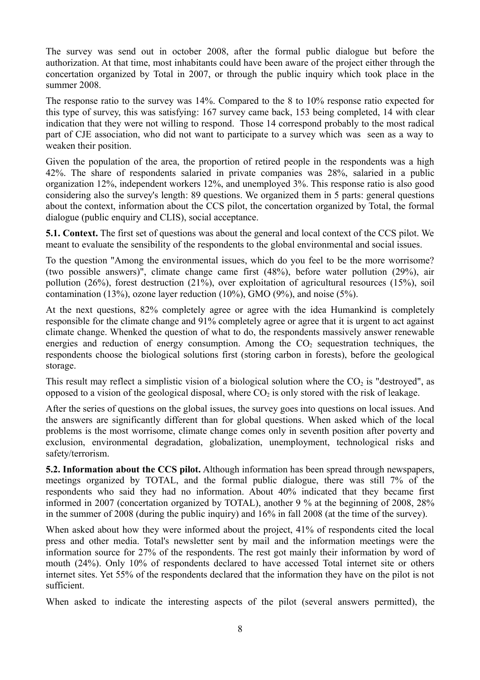The survey was send out in october 2008, after the formal public dialogue but before the authorization. At that time, most inhabitants could have been aware of the project either through the concertation organized by Total in 2007, or through the public inquiry which took place in the summer 2008.

The response ratio to the survey was 14%. Compared to the 8 to 10% response ratio expected for this type of survey, this was satisfying: 167 survey came back, 153 being completed, 14 with clear indication that they were not willing to respond. Those 14 correspond probably to the most radical part of CJE association, who did not want to participate to a survey which was seen as a way to weaken their position.

Given the population of the area, the proportion of retired people in the respondents was a high 42%. The share of respondents salaried in private companies was 28%, salaried in a public organization 12%, independent workers 12%, and unemployed 3%. This response ratio is also good considering also the survey's length: 89 questions. We organized them in 5 parts: general questions about the context, information about the CCS pilot, the concertation organized by Total, the formal dialogue (public enquiry and CLIS), social acceptance.

**5.1. Context.** The first set of questions was about the general and local context of the CCS pilot. We meant to evaluate the sensibility of the respondents to the global environmental and social issues.

To the question "Among the environmental issues, which do you feel to be the more worrisome? (two possible answers)", climate change came first (48%), before water pollution (29%), air pollution  $(26\%)$ , forest destruction  $(21\%)$ , over exploitation of agricultural resources  $(15\%)$ , soil contamination (13%), ozone layer reduction (10%), GMO  $(9\%)$ , and noise (5%).

At the next questions, 82% completely agree or agree with the idea Humankind is completely responsible for the climate change and 91% completely agree or agree that it is urgent to act against climate change. Whenked the question of what to do, the respondents massively answer renewable energies and reduction of energy consumption. Among the  $CO<sub>2</sub>$  sequestration techniques, the respondents choose the biological solutions first (storing carbon in forests), before the geological storage.

This result may reflect a simplistic vision of a biological solution where the  $CO<sub>2</sub>$  is "destroyed", as opposed to a vision of the geological disposal, where  $CO<sub>2</sub>$  is only stored with the risk of leakage.

After the series of questions on the global issues, the survey goes into questions on local issues. And the answers are significantly different than for global questions. When asked which of the local problems is the most worrisome, climate change comes only in seventh position after poverty and exclusion, environmental degradation, globalization, unemployment, technological risks and safety/terrorism.

5.2. Information about the CCS pilot. Although information has been spread through newspapers, meetings organized by TOTAL, and the formal public dialogue, there was still 7% of the respondents who said they had no information. About 40% indicated that they became first informed in 2007 (concertation organized by TOTAL), another 9 % at the beginning of 2008, 28% in the summer of 2008 (during the public inquiry) and 16% in fall 2008 (at the time of the survey).

When asked about how they were informed about the project, 41% of respondents cited the local press and other media. Total's newsletter sent by mail and the information meetings were the information source for 27% of the respondents. The rest got mainly their information by word of mouth (24%). Only 10% of respondents declared to have accessed Total internet site or others internet sites. Yet 55% of the respondents declared that the information they have on the pilot is not sufficient.

When asked to indicate the interesting aspects of the pilot (several answers permitted), the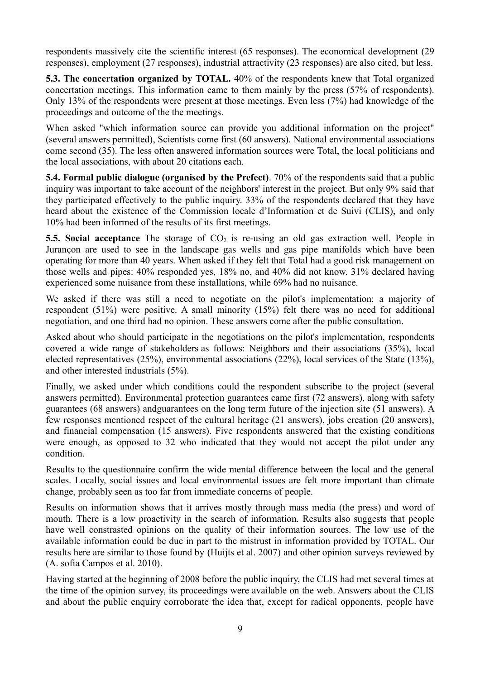respondents massively cite the scientific interest (65 responses). The economical development (29 responses), employment (27 responses), industrial attractivity (23 responses) are also cited, but less.

**5.3. The concertation organized by TOTAL.** 40% of the respondents knew that Total organized concertation meetings. This information came to them mainly by the press (57% of respondents). Only 13% of the respondents were present at those meetings. Even less (7%) had knowledge of the proceedings and outcome of the the meetings.

When asked "which information source can provide you additional information on the project" (several answers permitted). Scientists come first (60 answers). National environmental associations come second (35). The less often answered information sources were Total, the local politicians and the local associations, with about 20 citations each.

**5.4. Formal public dialogue (organised by the Prefect)**. 70% of the respondents said that a public inquiry was important to take account of the neighbors' interest in the project. But only 9% said that they participated effectively to the public inquiry. 33% of the respondents declared that they have heard about the existence of the Commission locale d'Information et de Suivi (CLIS), and only 10% had been informed of the results of its first meetings.

**5.5. Social acceptance** The storage of  $CO<sub>2</sub>$  is re-using an old gas extraction well. People in Jurançon are used to see in the landscape gas wells and gas pipe manifolds which have been operating for more than 40 years. When asked if they felt that Total had a good risk management on those wells and pipes: 40% responded yes, 18% no, and 40% did not know. 31% declared having experienced some nuisance from these installations, while 69% had no nuisance.

We asked if there was still a need to negotiate on the pilot's implementation: a majority of respondent  $(51\%)$  were positive. A small minority  $(15\%)$  felt there was no need for additional negotiation, and one third had no opinion. These answers come after the public consultation.

Asked about who should participate in the negotiations on the pilot's implementation, respondents covered a wide range of stakeholders as follows: Neighbors and their associations (35%), local elected representatives  $(25\%)$ , environmental associations  $(22\%)$ , local services of the State  $(13\%)$ , and other interested industrials  $(5\%)$ .

Finally, we asked under which conditions could the respondent subscribe to the project (several answers permitted). Environmental protection guarantees came first (72 answers), along with safety guarantees (68 answers) and guarantees on the long term future of the injection site (51 answers). A few responses mentioned respect of the cultural heritage (21 answers), jobs creation (20 answers), and financial compensation (15 answers). Five respondents answered that the existing conditions were enough, as opposed to 32 who indicated that they would not accept the pilot under any condition.

Results to the questionnaire confirm the wide mental difference between the local and the general scales. Locally, social issues and local environmental issues are felt more important than climate change, probably seen as too far from immediate concerns of people.

Results on information shows that it arrives mostly through mass media (the press) and word of mouth. There is a low proactivity in the search of information. Results also suggests that people have well constrasted opinions on the quality of their information sources. The low use of the available information could be due in part to the mistrust in information provided by TOTAL. Our results here are similar to those found by (Huijts et al. 2007) and other opinion surveys reviewed by (A. sofia Campos et al. 2010).

Having started at the beginning of 2008 before the public inquiry, the CLIS had met several times at the time of the opinion survey, its proceedings were available on the web. Answers about the CLIS and about the public enquiry corroborate the idea that, except for radical opponents, people have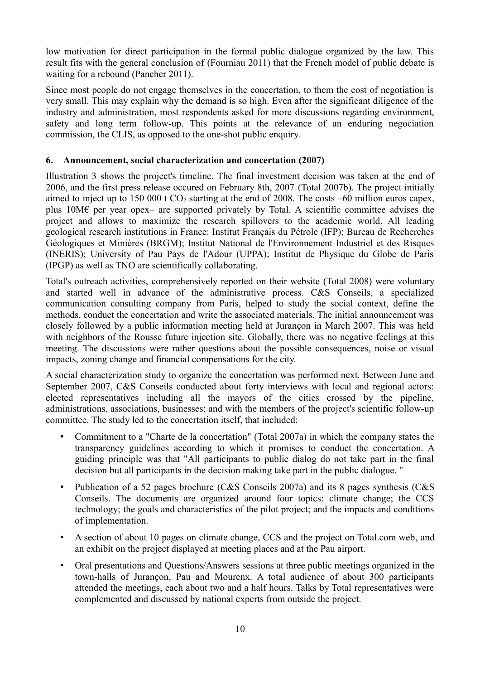low motivation for direct participation in the formal public dialogue organized by the law. This result fits with the general conclusion of (Fourniau 2011) that the French model of public debate is waiting for a rebound (Pancher 2011).

Since most people do not engage themselves in the concertation, to them the cost of negotiation is very small. This may explain why the demand is so high. Even after the significant diligence of the industry and administration, most respondents asked for more discussions regarding environment. safety and long term follow-up. This points at the relevance of an enduring negociation commission, the CLIS, as opposed to the one-shot public enquiry.

## 6. Announcement, social characterization and concertation (2007)

Illustration 3 shows the project's timeline. The final investment decision was taken at the end of 2006, and the first press release occurred on February 8th, 2007 (Total 2007b). The project initially aimed to inject up to 150 000 t  $CO_2$  starting at the end of 2008. The costs -60 million euros capex, plus  $10M\epsilon$  per vear opex- are supported privately by Total. A scientific committee advises the project and allows to maximize the research spillovers to the academic world. All leading geological research institutions in France: Institut Français du Pétrole (IFP); Bureau de Recherches Géologiques et Minières (BRGM); Institut National de l'Environnement Industriel et des Risques (INERIS); University of Pau Pays de l'Adour (UPPA); Institut de Physique du Globe de Paris (IPGP) as well as TNO are scientifically collaborating.

Total's outreach activities, comprehensively reported on their website (Total 2008) were voluntary and started well in advance of the administrative process. C&S Conseils, a specialized communication consulting company from Paris, helped to study the social context, define the methods, conduct the concertation and write the associated materials. The initial announcement was closely followed by a public information meeting held at Jurançon in March 2007. This was held with neighbors of the Rousse future injection site. Globally, there was no negative feelings at this meeting. The discussions were rather questions about the possible consequences, noise or visual impacts, zoning change and financial compensations for the city.

A social characterization study to organize the concertation was performed next. Between June and September 2007, C&S Conseils conducted about forty interviews with local and regional actors: elected representatives including all the mayors of the cities crossed by the pipeline, administrations, associations, businesses; and with the members of the project's scientific follow-up committee. The study led to the concertation itself, that included:

- $\bullet$ Commitment to a "Charte de la concertation" (Total 2007a) in which the company states the transparency guidelines according to which it promises to conduct the concertation. A guiding principle was that "All participants to public dialog do not take part in the final decision but all participants in the decision making take part in the public dialogue. "
- $\bullet$ Publication of a 52 pages brochure (C&S Conseils 2007a) and its 8 pages synthesis (C&S Conseils. The documents are organized around four topics: climate change; the CCS technology; the goals and characteristics of the pilot project; and the impacts and conditions of implementation.
- A section of about 10 pages on climate change, CCS and the project on Total.com web, and an exhibit on the project displayed at meeting places and at the Pau airport.
- Oral presentations and Questions/Answers sessions at three public meetings organized in the  $\bullet$ town-halls of Jurançon, Pau and Mourenx. A total audience of about 300 participants attended the meetings, each about two and a half hours. Talks by Total representatives were complemented and discussed by national experts from outside the project.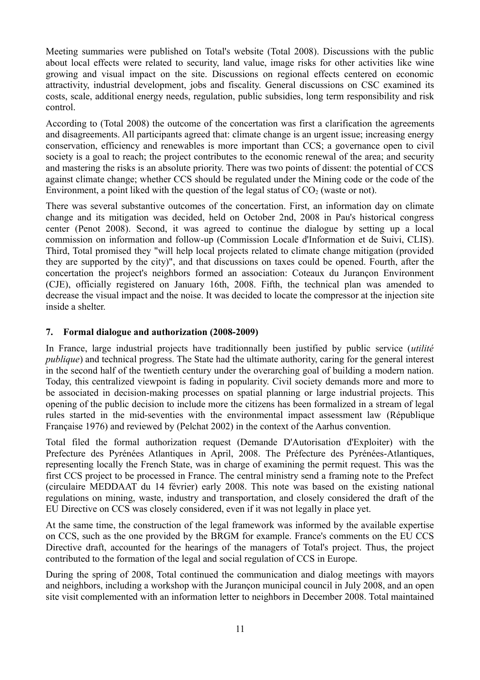Meeting summaries were published on Total's website (Total 2008). Discussions with the public about local effects were related to security, land value, image risks for other activities like wine growing and visual impact on the site. Discussions on regional effects centered on economic attractivity, industrial development, jobs and fiscality. General discussions on CSC examined its costs, scale, additional energy needs, regulation, public subsidies, long term responsibility and risk control.

According to (Total 2008) the outcome of the concertation was first a clarification the agreements and disagreements. All participants agreed that: climate change is an urgent issue; increasing energy conservation, efficiency and renewables is more important than CCS; a governance open to civil society is a goal to reach; the project contributes to the economic renewal of the area; and security and mastering the risks is an absolute priority. There was two points of dissent: the potential of CCS against climate change; whether CCS should be regulated under the Mining code or the code of the Environment, a point liked with the question of the legal status of  $CO<sub>2</sub>$  (waste or not).

There was several substantive outcomes of the concertation. First, an information day on climate change and its mitigation was decided, held on October 2nd, 2008 in Pau's historical congress center (Penot 2008). Second, it was agreed to continue the dialogue by setting up a local commission on information and follow-up (Commission Locale d'Information et de Suivi, CLIS). Third, Total promised they "will help local projects related to climate change mitigation (provided they are supported by the city)", and that discussions on taxes could be opened. Fourth, after the concertation the project's neighbors formed an association: Coteaux du Jurançon Environment (CJE), officially registered on January 16th, 2008. Fifth, the technical plan was amended to decrease the visual impact and the noise. It was decided to locate the compressor at the injection site inside a shelter.

#### <span id="page-11-0"></span>Formal dialogue and authorization (2008-2009) 7.

In France, large industrial projects have traditionnally been justified by public service (utilité *publique*) and technical progress. The State had the ultimate authority, caring for the general interest in the second half of the twentieth century under the overarching goal of building a modern nation. Today, this centralized viewpoint is fading in popularity. Civil society demands more and more to be associated in decision-making processes on spatial planning or large industrial projects. This opening of the public decision to include more the citizens has been formalized in a stream of legal rules started in the mid-seventies with the environmental impact assessment law (République Française 1976) and reviewed by (Pelchat 2002) in the context of the Aarhus convention.

Total filed the formal authorization request (Demande D'Autorisation d'Exploiter) with the Prefecture des Pyrénées Atlantiques in April, 2008. The Préfecture des Pyrénées-Atlantiques, representing locally the French State, was in charge of examining the permit request. This was the first CCS project to be processed in France. The central ministry send a framing note to the Prefect (circulaire MEDDAAT du 14 février) early 2008. This note was based on the existing national regulations on mining, waste, industry and transportation, and closely considered the draft of the EU Directive on CCS was closely considered, even if it was not legally in place yet.

At the same time, the construction of the legal framework was informed by the available expertise on CCS, such as the one provided by the BRGM for example. France's comments on the EU CCS Directive draft, accounted for the hearings of the managers of Total's project. Thus, the project contributed to the formation of the legal and social regulation of CCS in Europe.

During the spring of 2008. Total continued the communication and dialog meetings with mayors and neighbors, including a workshop with the Jurançon municipal council in July 2008, and an open site visit complemented with an information letter to neighbors in December 2008. Total maintained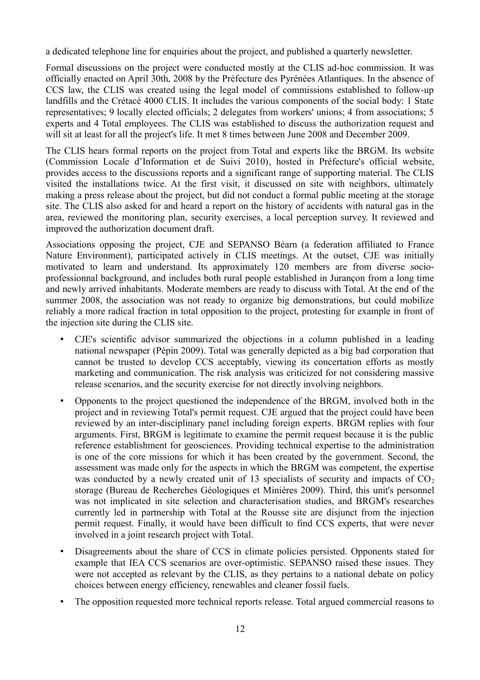a dedicated telephone line for enquiries about the project, and published a quarterly newsletter.

Formal discussions on the project were conducted mostly at the CLIS ad-hoc commission. It was officially enacted on April 30th, 2008 by the Préfecture des Pyrénées Atlantiques. In the absence of CCS law, the CLIS was created using the legal model of commissions established to follow-up landfills and the Crétacé 4000 CLIS. It includes the various components of the social body: 1 State representatives; 9 locally elected officials; 2 delegates from workers' unions; 4 from associations; 5 experts and 4 Total employees. The CLIS was established to discuss the authorization request and will sit at least for all the project's life. It met 8 times between June 2008 and December 2009.

The CLIS hears formal reports on the project from Total and experts like the BRGM. Its website (Commission Locale d'Information et de Suivi 2010), hosted in Préfecture's official website, provides access to the discussions reports and a significant range of supporting material. The CLIS visited the installations twice. At the first visit, it discussed on site with neighbors, ultimately making a press release about the project, but did not conduct a formal public meeting at the storage site. The CLIS also asked for and heard a report on the history of accidents with natural gas in the area, reviewed the monitoring plan, security exercises, a local perception survey. It reviewed and improved the authorization document draft.

Associations opposing the project, CJE and SEPANSO Béarn (a federation affiliated to France Nature Environment), participated actively in CLIS meetings. At the outset, CJE was initially motivated to learn and understand. Its approximately 120 members are from diverse socioprofessionnal background, and includes both rural people established in Jurançon from a long time and newly arrived inhabitants. Moderate members are ready to discuss with Total. At the end of the summer 2008, the association was not ready to organize big demonstrations, but could mobilize reliably a more radical fraction in total opposition to the project, protesting for example in front of the injection site during the CLIS site.

- $\bullet$ CJE's scientific advisor summarized the objections in a column published in a leading national newspaper (Pépin 2009). Total was generally depicted as a big bad corporation that cannot be trusted to develop CCS acceptably, viewing its concertation efforts as mostly marketing and communication. The risk analysis was criticized for not considering massive release scenarios, and the security exercise for not directly involving neighbors.
- Opponents to the project questioned the independence of the BRGM, involved both in the  $\bullet$ project and in reviewing Total's permit request. CJE argued that the project could have been reviewed by an inter-disciplinary panel including foreign experts. BRGM replies with four arguments. First, BRGM is legitimate to examine the permit request because it is the public reference establishment for geosciences. Providing technical expertise to the administration is one of the core missions for which it has been created by the government. Second, the assessment was made only for the aspects in which the BRGM was competent, the expertise was conducted by a newly created unit of 13 specialists of security and impacts of  $CO<sub>2</sub>$ storage (Bureau de Recherches Géologiques et Minières 2009). Third, this unit's personnel was not implicated in site selection and characterisation studies, and BRGM's researches currently led in partnership with Total at the Rousse site are disjunct from the injection permit request. Finally, it would have been difficult to find CCS experts, that were never involved in a joint research project with Total.
- Disagreements about the share of CCS in climate policies persisted. Opponents stated for example that IEA CCS scenarios are over-optimistic. SEPANSO raised these issues. They were not accepted as relevant by the CLIS, as they pertains to a national debate on policy choices between energy efficiency, renewables and cleaner fossil fuels.
- The opposition requested more technical reports release. Total argued commercial reasons to  $\bullet$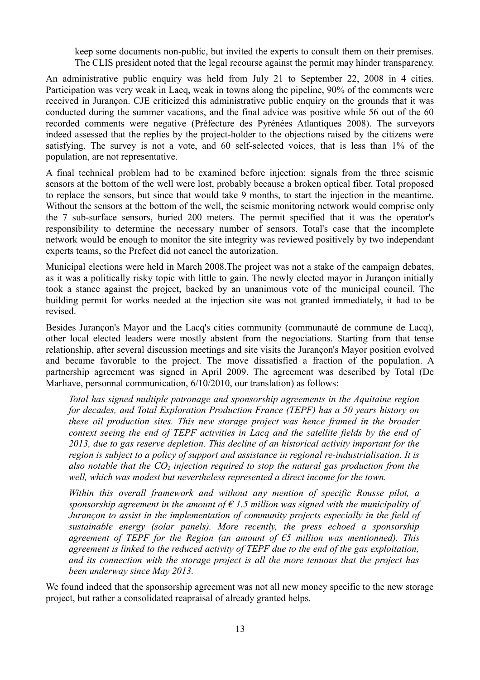keep some documents non-public, but invited the experts to consult them on their premises. The CLIS president noted that the legal recourse against the permit may hinder transparency.

An administrative public enquiry was held from July 21 to September 22, 2008 in 4 cities. Participation was very weak in Lacq, weak in towns along the pipeline, 90% of the comments were received in Jurançon. CJE criticized this administrative public enquiry on the grounds that it was conducted during the summer vacations, and the final advice was positive while 56 out of the 60 recorded comments were negative (Préfecture des Pyrénées Atlantiques 2008). The surveyors indeed assessed that the replies by the project-holder to the objections raised by the citizens were satisfying. The survey is not a vote, and 60 self-selected voices, that is less than 1% of the population, are not representative.

A final technical problem had to be examined before injection: signals from the three seismic sensors at the bottom of the well were lost, probably because a broken optical fiber. Total proposed to replace the sensors, but since that would take 9 months, to start the injection in the meantime. Without the sensors at the bottom of the well, the seismic monitoring network would comprise only the 7 sub-surface sensors, buried 200 meters. The permit specified that it was the operator's responsibility to determine the necessary number of sensors. Total's case that the incomplete network would be enough to monitor the site integrity was reviewed positively by two independant experts teams, so the Prefect did not cancel the autorization.

Municipal elections were held in March 2008. The project was not a stake of the campaign debates, as it was a politically risky topic with little to gain. The newly elected mayor in Jurançon initially took a stance against the project, backed by an unanimous vote of the municipal council. The building permit for works needed at the injection site was not granted immediately, it had to be revised

Besides Jurançon's Mayor and the Lacq's cities community (communauté de commune de Lacq), other local elected leaders were mostly abstent from the negociations. Starting from that tense relationship, after several discussion meetings and site visits the Jurançon's Mayor position evolved and became favorable to the project. The move dissatisfied a fraction of the population. A partnership agreement was signed in April 2009. The agreement was described by Total (De Marliave, personnal communication, 6/10/2010, our translation) as follows:

Total has signed multiple patronage and sponsorship agreements in the Aquitaine region for decades, and Total Exploration Production France (TEPF) has a 50 years history on these oil production sites. This new storage project was hence framed in the broader context seeing the end of TEPF activities in Lacq and the satellite fields by the end of 2013, due to gas reserve depletion. This decline of an historical activity important for the region is subject to a policy of support and assistance in regional re-industrialisation. It is also notable that the  $CO_2$  injection required to stop the natural gas production from the well, which was modest but nevertheless represented a direct income for the town.

Within this overall framework and without any mention of specific Rousse pilot, a sponsorship agreement in the amount of  $\epsilon$  1.5 million was signed with the municipality of Jurançon to assist in the implementation of community projects especially in the field of sustainable energy (solar panels). More recently, the press echoed a sponsorship agreement of TEPF for the Region (an amount of  $\epsilon$ 5 million was mentionned). This agreement is linked to the reduced activity of TEPF due to the end of the gas exploitation, and its connection with the storage project is all the more tenuous that the project has been underway since May 2013.

We found indeed that the sponsorship agreement was not all new money specific to the new storage project, but rather a consolidated reapraisal of already granted helps.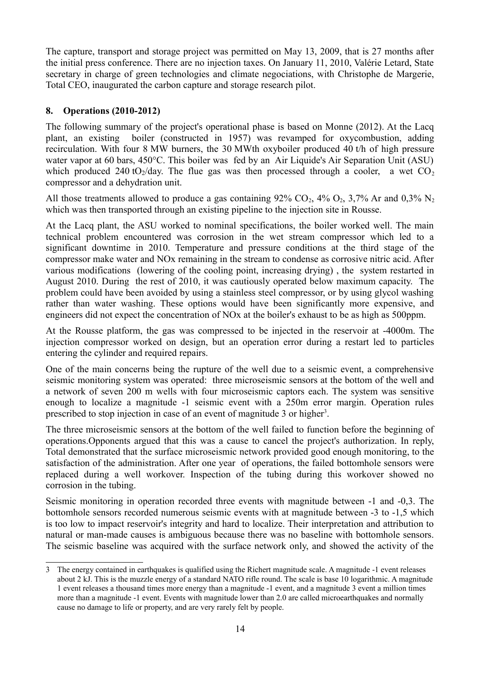The capture, transport and storage project was permitted on May 13, 2009, that is 27 months after the initial press conference. There are no injection taxes. On January 11, 2010, Valérie Letard, State secretary in charge of green technologies and climate negociations, with Christophe de Margerie, Total CEO, inaugurated the carbon capture and storage research pilot.

#### **Operations (2010-2012)** 8.

The following summary of the project's operational phase is based on Monne (2012). At the Lacq plant, an existing boiler (constructed in 1957) was revamped for oxycombustion, adding recirculation. With four 8 MW burners, the 30 MWth oxyboiler produced 40 t/h of high pressure water vapor at 60 bars, 450°C. This boiler was fed by an Air Liquide's Air Separation Unit (ASU) which produced 240 tO<sub>2</sub>/day. The flue gas was then processed through a cooler, a wet  $CO<sub>2</sub>$ compressor and a dehydration unit.

All those treatments allowed to produce a gas containing 92%  $CO_2$ , 4%  $O_2$ , 3,7% Ar and 0,3%  $N_2$ which was then transported through an existing pipeline to the injection site in Rousse.

At the Lacq plant, the ASU worked to nominal specifications, the boiler worked well. The main technical problem encountered was corrosion in the wet stream compressor which led to a significant downtime in 2010. Temperature and pressure conditions at the third stage of the compressor make water and NO<sub>x</sub> remaining in the stream to condense as corrosive nitric acid. After various modifications (lowering of the cooling point, increasing drying), the system restarted in August 2010. During the rest of 2010, it was cautiously operated below maximum capacity. The problem could have been avoided by using a stainless steel compressor, or by using glycol washing rather than water washing. These options would have been significantly more expensive, and engineers did not expect the concentration of NO<sub>x</sub> at the boiler's exhaust to be as high as 500ppm.

At the Rousse platform, the gas was compressed to be injected in the reservoir at -4000m. The injection compressor worked on design, but an operation error during a restart led to particles entering the cylinder and required repairs.

One of the main concerns being the rupture of the well due to a seismic event, a comprehensive seismic monitoring system was operated: three microseismic sensors at the bottom of the well and a network of seven 200 m wells with four microseismic captors each. The system was sensitive enough to localize a magnitude -1 seismic event with a 250m error margin. Operation rules prescribed to stop injection in case of an event of magnitude 3 or higher<sup>3</sup>.

The three microseismic sensors at the bottom of the well failed to function before the beginning of operations. Opponents argued that this was a cause to cancel the project's authorization. In reply, Total demonstrated that the surface microseismic network provided good enough monitoring, to the satisfaction of the administration. After one year of operations, the failed bottomhole sensors were replaced during a well workover. Inspection of the tubing during this workover showed no corrosion in the tubing.

Seismic monitoring in operation recorded three events with magnitude between -1 and -0.3. The bottomhole sensors recorded numerous seismic events with at magnitude between -3 to -1,5 which is too low to impact reservoir's integrity and hard to localize. Their interpretation and attribution to natural or man-made causes is ambiguous because there was no baseline with bottomhole sensors. The seismic baseline was acquired with the surface network only, and showed the activity of the

<span id="page-14-0"></span><sup>3</sup> The energy contained in earthquakes is qualified using the Richert magnitude scale. A magnitude -1 event releases about 2 kJ. This is the muzzle energy of a standard NATO rifle round. The scale is base 10 logarithmic. A magnitude 1 event releases a thousand times more energy than a magnitude -1 event, and a magnitude 3 event a million times more than a magnitude -1 event. Events with magnitude lower than 2.0 are called microearthquakes and normally cause no damage to life or property, and are very rarely felt by people.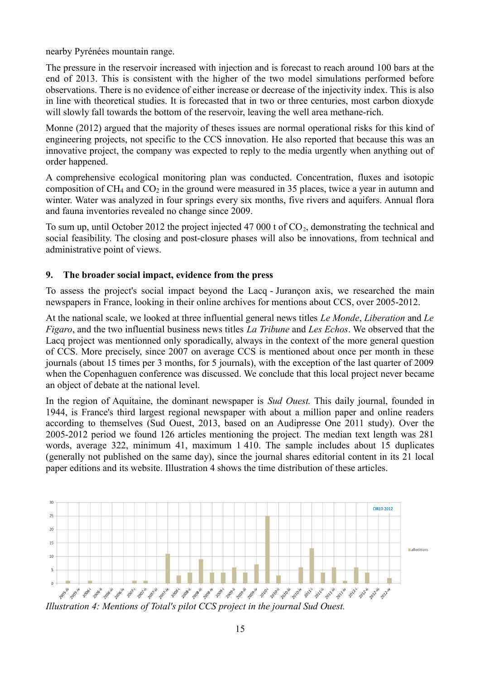nearby Pyrénées mountain range.

The pressure in the reservoir increased with injection and is forecast to reach around 100 bars at the end of 2013. This is consistent with the higher of the two model simulations performed before observations. There is no evidence of either increase or decrease of the injectivity index. This is also in line with theoretical studies. It is forecasted that in two or three centuries, most carbon dioxyde will slowly fall towards the bottom of the reservoir, leaving the well area methane-rich.

Monne (2012) argued that the majority of theses issues are normal operational risks for this kind of engineering projects, not specific to the CCS innovation. He also reported that because this was an innovative project, the company was expected to reply to the media urgently when anything out of order happened.

A comprehensive ecological monitoring plan was conducted. Concentration, fluxes and isotopic composition of  $CH_4$  and  $CO_2$  in the ground were measured in 35 places, twice a year in autumn and winter. Water was analyzed in four springs every six months, five rivers and aquifers. Annual flora and fauna inventories revealed no change since 2009.

To sum up, until October 2012 the project injected 47 000 t of  $CO<sub>2</sub>$ , demonstrating the technical and social feasibility. The closing and post-closure phases will also be innovations, from technical and administrative point of views.

#### The broader social impact, evidence from the press  $9<sub>1</sub>$

To assess the project's social impact beyond the Lacq - Jurançon axis, we researched the main newspapers in France, looking in their online archives for mentions about CCS, over 2005-2012.

At the national scale, we looked at three influential general news titles Le Monde, Liberation and Le Figaro, and the two influential business news titles La Tribune and Les Echos. We observed that the Lacq project was mentionned only sporadically, always in the context of the more general question of CCS. More precisely, since 2007 on average CCS is mentioned about once per month in these journals (about 15 times per 3 months, for 5 journals), with the exception of the last quarter of 2009 when the Copenhaguen conference was discussed. We conclude that this local project never became an object of debate at the national level.

In the region of Aquitaine, the dominant newspaper is *Sud Ouest*. This daily journal, founded in 1944, is France's third largest regional newspaper with about a million paper and online readers according to themselves (Sud Ouest, 2013, based on an Audipresse One 2011 study). Over the 2005-2012 period we found 126 articles mentioning the project. The median text length was 281 words, average 322, minimum 41, maximum 1 410. The sample includes about 15 duplicates (generally not published on the same day), since the journal shares editorial content in its 21 local paper editions and its website. Illustration 4 shows the time distribution of these articles.



<span id="page-15-0"></span>Illustration 4: Mentions of Total's pilot CCS project in the journal Sud Ouest.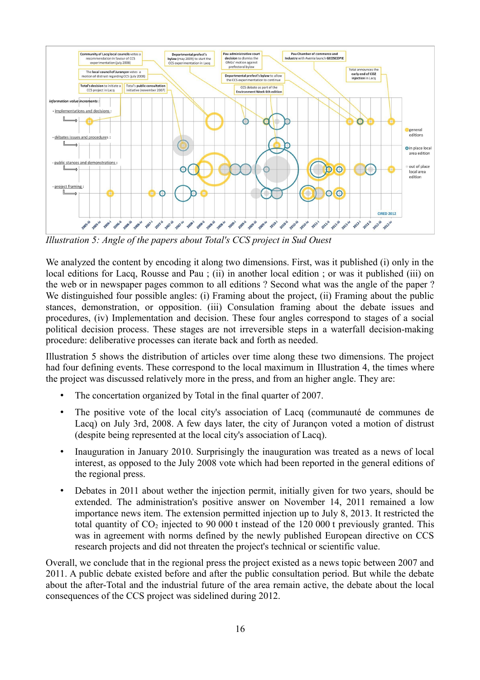

<span id="page-16-0"></span>Illustration 5: Angle of the papers about Total's CCS project in Sud Ouest

We analyzed the content by encoding it along two dimensions. First, was it published (i) only in the local editions for Lacq, Rousse and Pau; (ii) in another local edition; or was it published (iii) on the web or in newspaper pages common to all editions? Second what was the angle of the paper? We distinguished four possible angles: (i) Framing about the project, (ii) Framing about the public stances, demonstration, or opposition. (iii) Consulation framing about the debate issues and procedures, (iv) Implementation and decision. These four angles correspond to stages of a social political decision process. These stages are not irreversible steps in a waterfall decision-making procedure: deliberative processes can iterate back and forth as needed.

Illustration 5 shows the distribution of articles over time along these two dimensions. The project had four defining events. These correspond to the local maximum in Illustration 4, the times where the project was discussed relatively more in the press, and from an higher angle. They are:

- The concertation organized by Total in the final quarter of 2007.  $\bullet$
- $\bullet$ The positive vote of the local city's association of Lacq (communauté de communes de Lacq) on July 3rd, 2008. A few days later, the city of Jurancon voted a motion of distrust (despite being represented at the local city's association of Lacq).
- Inauguration in January 2010. Surprisingly the inauguration was treated as a news of local  $\bullet$ interest, as opposed to the July 2008 vote which had been reported in the general editions of the regional press.
- $\bullet$ Debates in 2011 about wether the injection permit, initially given for two years, should be extended. The administration's positive answer on November 14, 2011 remained a low importance news item. The extension permitted injection up to July 8, 2013. It restricted the total quantity of  $CO_2$  injected to 90 000 t instead of the 120 000 t previously granted. This was in agreement with norms defined by the newly published European directive on CCS research projects and did not threaten the project's technical or scientific value.

Overall, we conclude that in the regional press the project existed as a news topic between 2007 and 2011. A public debate existed before and after the public consultation period. But while the debate about the after-Total and the industrial future of the area remain active, the debate about the local consequences of the CCS project was sidelined during 2012.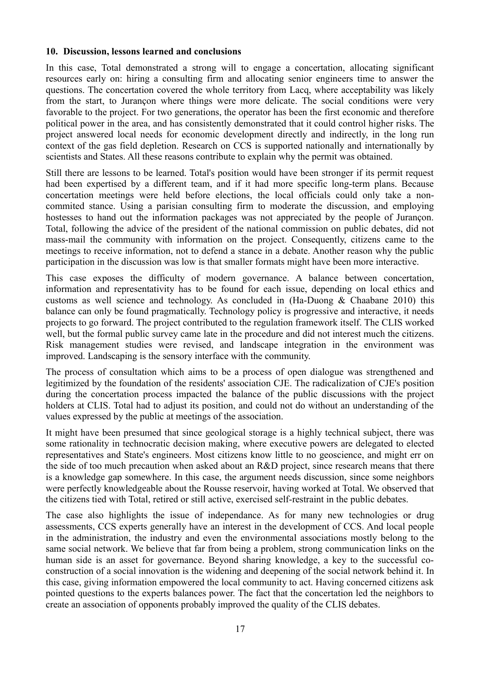### 10. Discussion, lessons learned and conclusions

In this case, Total demonstrated a strong will to engage a concertation, allocating significant resources early on: hiring a consulting firm and allocating senior engineers time to answer the questions. The concertation covered the whole territory from Lacq, where acceptability was likely from the start, to Jurançon where things were more delicate. The social conditions were very favorable to the project. For two generations, the operator has been the first economic and therefore political power in the area, and has consistently demonstrated that it could control higher risks. The project answered local needs for economic development directly and indirectly, in the long run context of the gas field depletion. Research on CCS is supported nationally and internationally by scientists and States. All these reasons contribute to explain why the permit was obtained.

Still there are lessons to be learned. Total's position would have been stronger if its permit request had been expertised by a different team, and if it had more specific long-term plans. Because concertation meetings were held before elections, the local officials could only take a noncommited stance. Using a parisian consulting firm to moderate the discussion, and employing hostesses to hand out the information packages was not appreciated by the people of Jurançon. Total, following the advice of the president of the national commission on public debates, did not mass-mail the community with information on the project. Consequently, citizens came to the meetings to receive information, not to defend a stance in a debate. Another reason why the public participation in the discussion was low is that smaller formats might have been more interactive.

This case exposes the difficulty of modern governance. A balance between concertation, information and representativity has to be found for each issue, depending on local ethics and customs as well science and technology. As concluded in  $(Ha-Duong & Chaabane 2010)$  this balance can only be found pragmatically. Technology policy is progressive and interactive, it needs projects to go forward. The project contributed to the regulation framework itself. The CLIS worked well, but the formal public survey came late in the procedure and did not interest much the citizens. Risk management studies were revised, and landscape integration in the environment was improved. Landscaping is the sensory interface with the community.

The process of consultation which aims to be a process of open dialogue was strengthened and legitimized by the foundation of the residents' association CJE. The radicalization of CJE's position during the concertation process impacted the balance of the public discussions with the project holders at CLIS. Total had to adjust its position, and could not do without an understanding of the values expressed by the public at meetings of the association.

It might have been presumed that since geological storage is a highly technical subject, there was some rationality in technocratic decision making, where executive powers are delegated to elected representatives and State's engineers. Most citizens know little to no geoscience, and might err on the side of too much precaution when asked about an R&D project, since research means that there is a knowledge gap somewhere. In this case, the argument needs discussion, since some neighbors were perfectly knowledgeable about the Rousse reservoir, having worked at Total. We observed that the citizens tied with Total, retired or still active, exercised self-restraint in the public debates.

The case also highlights the issue of independance. As for many new technologies or drug assessments, CCS experts generally have an interest in the development of CCS. And local people in the administration, the industry and even the environmental associations mostly belong to the same social network. We believe that far from being a problem, strong communication links on the human side is an asset for governance. Beyond sharing knowledge, a key to the successful coconstruction of a social innovation is the widening and deepening of the social network behind it. In this case, giving information empowered the local community to act. Having concerned citizens ask pointed questions to the experts balances power. The fact that the concertation led the neighbors to create an association of opponents probably improved the quality of the CLIS debates.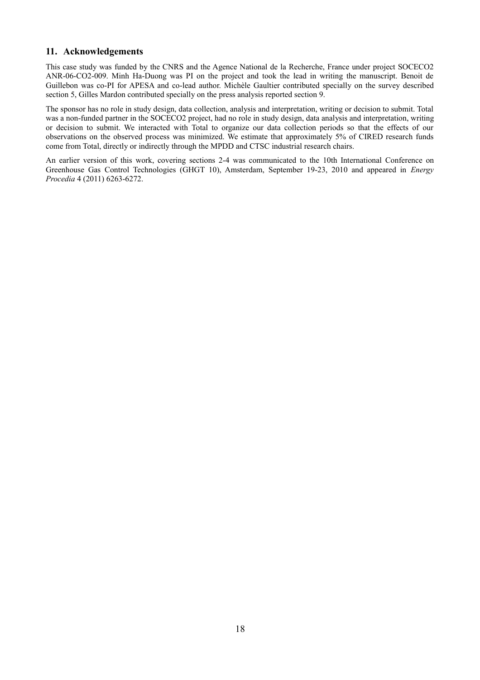### 11. Acknowledgements

This case study was funded by the CNRS and the Agence National de la Recherche, France under project SOCECO2 ANR-06-CO2-009. Minh Ha-Duong was PI on the project and took the lead in writing the manuscript. Benoit de Guillebon was co-PI for APESA and co-lead author. Michèle Gaultier contributed specially on the survey described section 5, Gilles Mardon contributed specially on the press analysis reported section 9.

The sponsor has no role in study design, data collection, analysis and interpretation, writing or decision to submit. Total was a non-funded partner in the SOCECO2 project, had no role in study design, data analysis and interpretation, writing or decision to submit. We interacted with Total to organize our data collection periods so that the effects of our observations on the observed process was minimized. We estimate that approximately 5% of CIRED research funds come from Total, directly or indirectly through the MPDD and CTSC industrial research chairs.

An earlier version of this work, covering sections 2-4 was communicated to the 10th International Conference on Greenhouse Gas Control Technologies (GHGT 10), Amsterdam, September 19-23, 2010 and appeared in *Energy* Procedia 4 (2011) 6263-6272.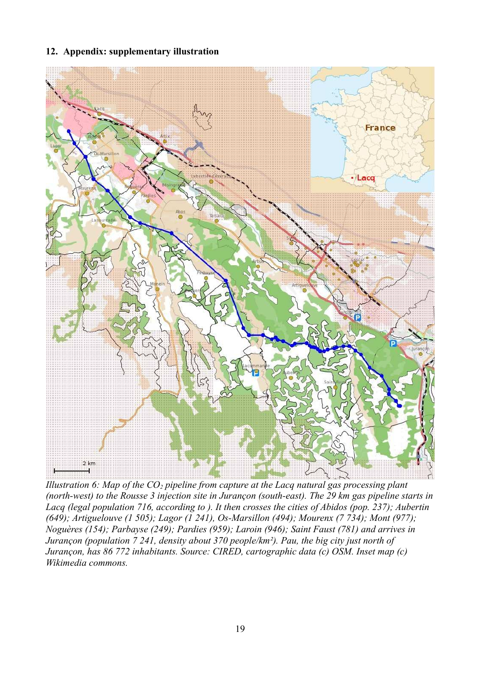## 12. Appendix: supplementary illustration



<span id="page-19-0"></span>Illustration 6: Map of the  $CO<sub>2</sub>$  pipeline from capture at the Lacq natural gas processing plant (north-west) to the Rousse 3 injection site in Jurançon (south-east). The 29 km gas pipeline starts in Lacq (legal population 716, according to ). It then crosses the cities of Abidos (pop. 237); Aubertin (649); Artiguelouve (1 505); Lagor (1 241), Os-Marsillon (494); Mourenx (7 734); Mont (977); Noguères (154); Parbayse (249); Pardies (959); Laroin (946); Saint Faust (781) and arrives in Jurançon (population 7 241, density about 370 people/km<sup>2</sup>). Pau, the big city just north of Jurançon, has 86 772 inhabitants. Source: CIRED, cartographic data (c) OSM. Inset map (c) Wikimedia commons.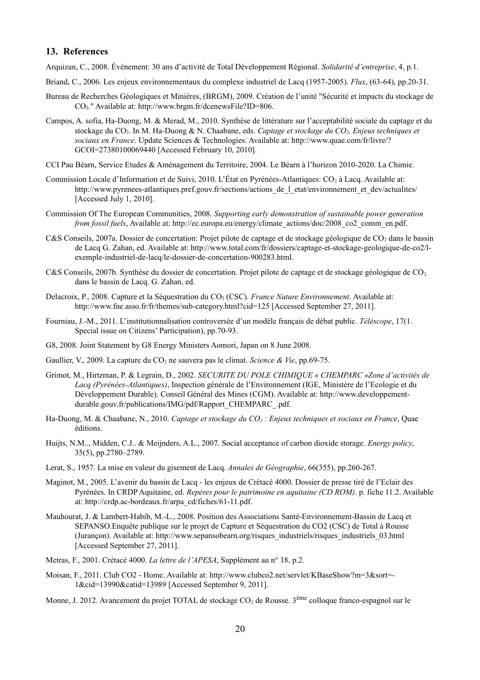### 13. References

Arquizan, C., 2008. Évènement: 30 ans d'activité de Total Développement Régional. Solidarité d'entreprise, 4, p.1.

- Briand, C., 2006. Les enjeux environmementaux du complexe industriel de Lacq (1957-2005). Flux, (63-64), pp.20-31.
- Bureau de Recherches Géologiques et Minières, (BRGM), 2009. Création de l'unité "Sécurité et impacts du stockage de  $CO<sub>2</sub>$ ." Available at: http://www.brgm.fr/dcenewsFile?ID=806.
- Campos, A. sofia, Ha-Duong, M. & Merad, M., 2010. Synthèse de littérature sur l'acceptabilité sociale du captage et du stockage du CO<sub>2</sub>. In M. Ha-Duong & N. Chaabane, eds. Captage et stockage du CO<sub>2</sub>, Enjeux techniques et sociaux en France. Update Sciences & Technologies. Available at: http://www.quae.com/fr/livre/? GCOI=27380100069440 [Accessed February 10, 2010].
- CCI Pau Béarn. Service Etudes & Aménagement du Territoire. 2004. Le Béarn à l'horizon 2010-2020. La Chimie.
- Commission Locale d'Information et de Suivi, 2010. L'État en Pyrénées-Atlantiques: CO<sub>2</sub> à Lacq. Available at: http://www.pyrenees-atlantiques.pref.gouv.fr/sections/actions de 1 etat/environmement et dev/actualites/ [Accessed July 1, 2010].
- Commission Of The European Communities, 2008. Supporting early demonstration of sustainable power generation from fossil fuels, Available at: http://ec.europa.eu/energy/climate\_actions/doc/2008\_co2\_comm\_en.pdf.
- C&S Conseils, 2007a. Dossier de concertation: Projet pilote de captage et de stockage géologique de CO<sub>2</sub> dans le bassin de Lacq G. Zahan, ed. Available at: http://www.total.com/fr/dossiers/captage-et-stockage-geologique-de-co2/lexemple-industriel-de-lacq/le-dossier-de-concertation-900283.html.
- C&S Conseils, 2007b. Synthèse du dossier de concertation. Projet pilote de captage et de stockage géologique de CO<sub>2</sub> dans le bassin de Lacq. G. Zahan, ed.
- Delacroix, P., 2008. Capture et la Séquestration du CO<sub>2</sub> (CSC). *France Nature Environnement*. Available at: http://www.fne.asso.fr/fr/themes/sub-category.html?cid=125 [Accessed September 27, 2011].
- Fourniau, J.-M., 2011. L'institutionnalisation controversée d'un modèle français de débat public. Téléscope, 17(1. Special issue on Citizens' Participation), pp.70-93.
- G8, 2008. Joint Statement by G8 Energy Ministers Aomori, Japan on 8 June 2008.
- Gaullier, V., 2009. La capture du CO<sub>2</sub> ne sauvera pas le climat. Science & Vie, pp.69-75.
- Grimot, M., Hirtzman, P. & Legrain, D., 2002. SECURITE DU POLE CHIMIQUE « CHEMPARC »Zone d'activités de Lacq (Pyrénées-Atlantiques), Inspection générale de l'Environnement (IGE, Ministère de l'Ecologie et du Développement Durable). Conseil Général des Mines (CGM). Available at: http://www.developpementdurable.gouv.fr/publications/IMG/pdf/Rapport\_CHEMPARC\_.pdf.
- Ha-Duong, M. & Chaabane, N., 2010. Captage et stockage du CO<sub>2</sub> : Enjeux techniques et sociaux en France, Quae éditions.
- Huijts, N.M.., Midden, C.J.. & Meijnders, A.L., 2007. Social acceptance of carbon dioxide storage. *Energy policy*, 35(5), pp.2780-2789.
- Lerat, S., 1957. La mise en valeur du gisement de Lacq. Annales de Géographie, 66(355), pp.260-267.
- Maginot, M., 2005. L'avenir du bassin de Lacq les enjeux de Crétacé 4000. Dossier de presse tiré de l'Eclair des Pyrénées. In CRDP Aquitaine, ed. Repères pour le patrimoine en aquitaine (CD ROM), p. fiche 11.2. Available at: http://crdp.ac-bordeaux.fr/arpa\_cd/fiches/61-11.pdf.
- Mauhourat, J. & Lambert-Habib, M.-L., 2008. Position des Associations Santé-Environnement-Bassin de Lacq et SEPANSO. Enquête publique sur le projet de Capture et Séquestration du CO2 (CSC) de Total à Rousse (Jurancon). Available at: http://www.sepansobearn.org/risques\_industriels/risques\_industriels\_03.html [Accessed September 27, 2011].
- Metras, F., 2001. Crétacé 4000. La lettre de l'APESA, Supplément au n° 18, p.2.
- Moisan, F., 2011. Club CO2 Home. Available at: http://www.clubco2.net/servlet/KBaseShow?m=3&sort=-1&cid=13990&catid=13989 [Accessed September 9, 2011].
- Monne, J. 2012. Avancement du projet TOTAL de stockage CO<sub>2</sub> de Rousse. 3<sup>ème</sup> colloque franco-espagnol sur le